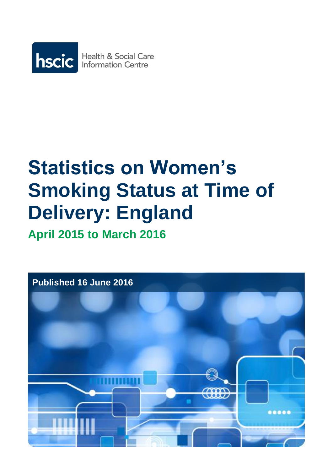

# **Statistics on Women's Smoking Status at Time of Delivery: England**

**April 2015 to March 2016**

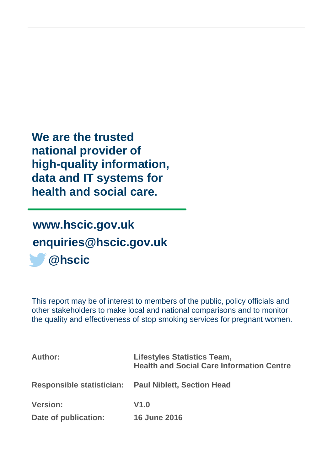**We are the trusted national provider of high-quality information, data and IT systems for health and social care.**

# **[www.hscic.gov.uk](http://www.hscic.gov.uk/) [enquiries@hscic.gov.uk](mailto:enquiries@hscic.gov.uk) @hscic**

This report may be of interest to members of the public, policy officials and other stakeholders to make local and national comparisons and to monitor the quality and effectiveness of stop smoking services for pregnant women.

| <b>Author:</b>                   | <b>Lifestyles Statistics Team,</b><br><b>Health and Social Care Information Centre</b> |
|----------------------------------|----------------------------------------------------------------------------------------|
| <b>Responsible statistician:</b> | <b>Paul Niblett, Section Head</b>                                                      |
| <b>Version:</b>                  | V1.0                                                                                   |
| Date of publication:             | <b>16 June 2016</b>                                                                    |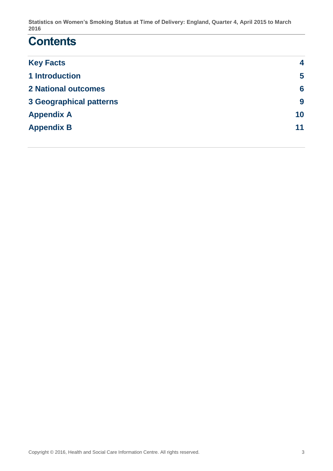### **Contents**

| 4  |
|----|
| 5  |
| 6  |
| 9  |
| 10 |
| 11 |
|    |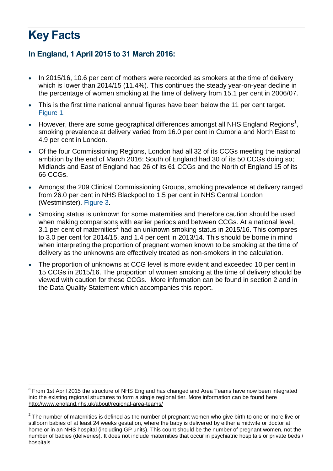# <span id="page-3-0"></span>**Key Facts**

#### **In England, 1 April 2015 to 31 March 2016:**

- In 2015/16, 10.6 per cent of mothers were recorded as smokers at the time of delivery which is lower than 2014/15 (11.4%). This continues the steady year-on-year decline in the percentage of women smoking at the time of delivery from 15.1 per cent in 2006/07.
- This is the first time national annual figures have been below the 11 per cent target. Figure 1.
- However, there are some geographical differences amongst all NHS England Regions<sup>1</sup>, smoking prevalence at delivery varied from 16.0 per cent in Cumbria and North East to 4.9 per cent in London.
- Of the four Commissioning Regions, London had all 32 of its CCGs meeting the national ambition by the end of March 2016; South of England had 30 of its 50 CCGs doing so; Midlands and East of England had 26 of its 61 CCGs and the North of England 15 of its 66 CCGs.
- Amongst the 209 Clinical Commissioning Groups, smoking prevalence at delivery ranged from 26.0 per cent in NHS Blackpool to 1.5 per cent in NHS Central London (Westminster). Figure 3.
- Smoking status is unknown for some maternities and therefore caution should be used when making comparisons with earlier periods and between CCGs. At a national level, 3.1 per cent of maternities<sup>2</sup> had an unknown smoking status in 2015/16. This compares to 3.0 per cent for 2014/15, and 1.4 per cent in 2013/14. This should be borne in mind when interpreting the proportion of pregnant women known to be smoking at the time of delivery as the unknowns are effectively treated as non-smokers in the calculation.
- The proportion of unknowns at CCG level is more evident and exceeded 10 per cent in 15 CCGs in 2015/16. The proportion of women smoking at the time of delivery should be viewed with caution for these CCGs. More information can be found in section 2 and in the Data Quality Statement which accompanies this report.

<sup>&</sup>lt;u>.</u> <sup>a</sup> From 1st April 2015 the structure of NHS England has changed and Area Teams have now been integrated into the existing regional structures to form a single regional tier. More information can be found here <http://www.england.nhs.uk/about/regional-area-teams/>

 $2$  The number of maternities is defined as the number of pregnant women who give birth to one or more live or stillborn babies of at least 24 weeks gestation, where the baby is delivered by either a midwife or doctor at home or in an NHS hospital (including GP units). This count should be the number of pregnant women, not the number of babies (deliveries). It does not include maternities that occur in psychiatric hospitals or private beds / hospitals.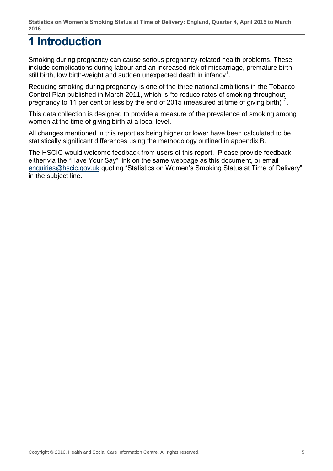## <span id="page-4-0"></span>**1 Introduction**

Smoking during pregnancy can cause serious pregnancy-related health problems. These include complications during labour and an increased risk of miscarriage, premature birth, still birth, low birth-weight and sudden unexpected death in infancy<sup>1</sup>[.](#page-11-0)

Reducing smoking during pregnancy is one of the three national ambitions in the Tobacco Control Plan published in March 2011, which is "to reduce rates of smoking throughout pregnancy to 11 per cent or less by the end of [2](#page-11-1)015 (measured at time of giving birth)"<sup>2</sup>.

This data collection is designed to provide a measure of the prevalence of smoking among women at the time of giving birth at a local level.

All changes mentioned in this report as being higher or lower have been calculated to be statistically significant differences using the methodology outlined in appendix B.

The HSCIC would welcome feedback from users of this report. Please provide feedback either via the "Have Your Say" link on the same webpage as this document, or email [enquiries@hscic.gov.uk](mailto:enquiries@hscic.gov.uk) quoting "Statistics on Women's Smoking Status at Time of Delivery" in the subject line.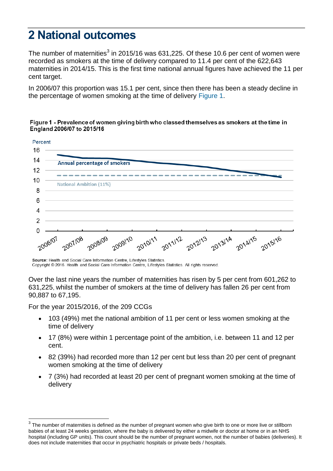### <span id="page-5-0"></span>**2 National outcomes**

The number of maternities<sup>3</sup> in 2015/16 was 631,225. Of these 10.6 per cent of women were recorded as smokers at the time of delivery compared to 11.4 per cent of the 622,643 maternities in 2014/15. This is the first time national annual figures have achieved the 11 per cent target.

In 2006/07 this proportion was 15.1 per cent, since then there has been a steady decline in the percentage of women smoking at the time of delivery Figure 1.

#### Figure 1 - Prevalence of women giving birth who classed themselves as smokers at the time in England 2006/07 to 2015/16



Source: Health and Social Care Information Centre, Lifestyles Statistics. Copyright © 2016. Health and Social Care Information Centre, Lifestyles Statistics. All rights reserved.

Over the last nine years the number of maternities has risen by 5 per cent from 601,262 to 631,225, whilst the number of smokers at the time of delivery has fallen 26 per cent from 90,887 to 67,195.

For the year 2015/2016, of the 209 CCGs

1

- 103 (49%) met the national ambition of 11 per cent or less women smoking at the time of delivery
- 17 (8%) were within 1 percentage point of the ambition, i.e. between 11 and 12 per cent.
- 82 (39%) had recorded more than 12 per cent but less than 20 per cent of pregnant women smoking at the time of delivery
- 7 (3%) had recorded at least 20 per cent of pregnant women smoking at the time of delivery

 $3$  The number of maternities is defined as the number of pregnant women who give birth to one or more live or stillborn babies of at least 24 weeks gestation, where the baby is delivered by either a midwife or doctor at home or in an NHS hospital (including GP units). This count should be the number of pregnant women, not the number of babies (deliveries). It does not include maternities that occur in psychiatric hospitals or private beds / hospitals.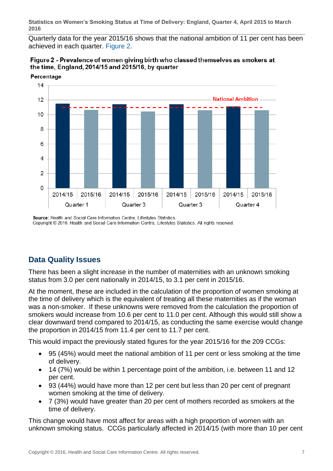Quarterly data for the year 2015/16 shows that the national ambition of 11 per cent has been achieved in each quarter. Figure 2.





Source: Health and Social Care Information Centre, Lifestyles Statistics. Copyright © 2016. Health and Social Care Information Centre, Lifestyles Statistics. All rights reserved.

#### **Data Quality Issues**

There has been a slight increase in the number of maternities with an unknown smoking status from 3.0 per cent nationally in 2014/15, to 3.1 per cent in 2015/16.

At the moment, these are included in the calculation of the proportion of women smoking at the time of delivery which is the equivalent of treating all these maternities as if the woman was a non-smoker. If these unknowns were removed from the calculation the proportion of smokers would increase from 10.6 per cent to 11.0 per cent. Although this would still show a clear downward trend compared to 2014/15, as conducting the same exercise would change the proportion in 2014/15 from 11.4 per cent to 11.7 per cent.

This would impact the previously stated figures for the year 2015/16 for the 209 CCGs:

- 95 (45%) would meet the national ambition of 11 per cent or less smoking at the time of delivery.
- 14 (7%) would be within 1 percentage point of the ambition, i.e. between 11 and 12 per cent.
- 93 (44%) would have more than 12 per cent but less than 20 per cent of pregnant women smoking at the time of delivery.
- 7 (3%) would have greater than 20 per cent of mothers recorded as smokers at the time of delivery.

This change would have most affect for areas with a high proportion of women with an unknown smoking status. CCGs particularly affected in 2014/15 (with more than 10 per cent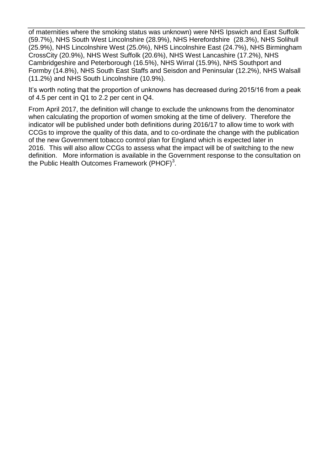of maternities where the smoking status was unknown) were NHS Ipswich and East Suffolk (59.7%), NHS South West Lincolnshire (28.9%), NHS Herefordshire (28.3%), NHS Solihull (25.9%), NHS Lincolnshire West (25.0%), NHS Lincolnshire East (24.7%), NHS Birmingham CrossCity (20.9%), NHS West Suffolk (20.6%), NHS West Lancashire (17.2%), NHS Cambridgeshire and Peterborough (16.5%), NHS Wirral (15.9%), NHS Southport and Formby (14.8%), NHS South East Staffs and Seisdon and Peninsular (12.2%), NHS Walsall (11.2%) and NHS South Lincolnshire (10.9%).

It's worth noting that the proportion of unknowns has decreased during 2015/16 from a peak of 4.5 per cent in Q1 to 2.2 per cent in Q4.

From April 2017, the definition will change to exclude the unknowns from the denominator when calculating the proportion of women smoking at the time of delivery. Therefore the indicator will be published under both definitions during 2016/17 to allow time to work with CCGs to improve the quality of this data, and to co-ordinate the change with the publication of the new Government tobacco control plan for England which is expected later in 2016. This will also allow CCGs to assess what the impact will be of switching to the new definition. More information is available in the Government response to the consultation on the Public Health Outcomes Framework (PHOF) $^3$ .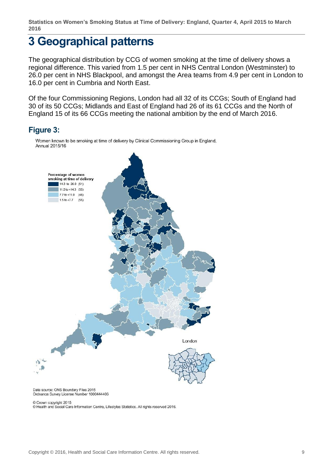### <span id="page-8-0"></span>**3 Geographical patterns**

The geographical distribution by CCG of women smoking at the time of delivery shows a regional difference. This varied from 1.5 per cent in NHS Central London (Westminster) to 26.0 per cent in NHS Blackpool, and amongst the Area teams from 4.9 per cent in London to 16.0 per cent in Cumbria and North East.

Of the four Commissioning Regions, London had all 32 of its CCGs; South of England had 30 of its 50 CCGs; Midlands and East of England had 26 of its 61 CCGs and the North of England 15 of its 66 CCGs meeting the national ambition by the end of March 2016.

#### **Figure 3:**



Women known to be smoking at time of delivery by Clinical Commissioning Group in England, Annual 2015/16

Data source: ONS Boundary Files 2015 Ordnance Survey License Number 1000444406

© Crown copyright 2015

© Health and Social Care Information Centre, Lifestyles Statistics. All rights reserved 2016.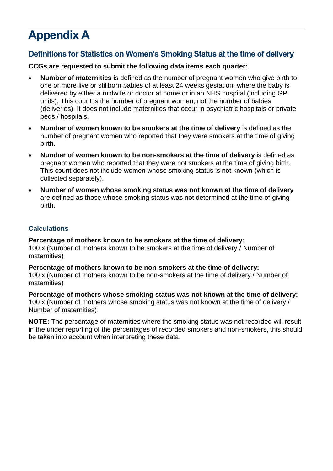# <span id="page-9-0"></span>**Appendix A**

#### **Definitions for Statistics on Women's Smoking Status at the time of delivery**

**CCGs are requested to submit the following data items each quarter:**

- **Number of maternities** is defined as the number of pregnant women who give birth to one or more live or stillborn babies of at least 24 weeks gestation, where the baby is delivered by either a midwife or doctor at home or in an NHS hospital (including GP units). This count is the number of pregnant women, not the number of babies (deliveries). It does not include maternities that occur in psychiatric hospitals or private beds / hospitals.
- **Number of women known to be smokers at the time of delivery** is defined as the number of pregnant women who reported that they were smokers at the time of giving birth.
- **Number of women known to be non-smokers at the time of delivery** is defined as pregnant women who reported that they were not smokers at the time of giving birth. This count does not include women whose smoking status is not known (which is collected separately).
- **Number of women whose smoking status was not known at the time of delivery** are defined as those whose smoking status was not determined at the time of giving birth.

#### **Calculations**

**Percentage of mothers known to be smokers at the time of delivery**: 100 x (Number of mothers known to be smokers at the time of delivery / Number of maternities)

**Percentage of mothers known to be non-smokers at the time of delivery:** 100 x (Number of mothers known to be non-smokers at the time of delivery / Number of maternities)

**Percentage of mothers whose smoking status was not known at the time of delivery:** 100 x (Number of mothers whose smoking status was not known at the time of delivery / Number of maternities)

**NOTE:** The percentage of maternities where the smoking status was not recorded will result in the under reporting of the percentages of recorded smokers and non-smokers, this should be taken into account when interpreting these data.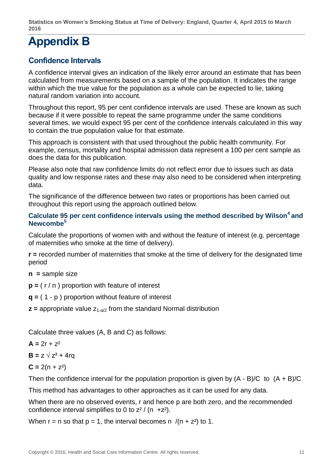## <span id="page-10-0"></span>**Appendix B**

#### **Confidence Intervals**

A confidence interval gives an indication of the likely error around an estimate that has been calculated from measurements based on a sample of the population. It indicates the range within which the true value for the population as a whole can be expected to lie, taking natural random variation into account.

Throughout this report, 95 per cent confidence intervals are used. These are known as such because if it were possible to repeat the same programme under the same conditions several times, we would expect 95 per cent of the confidence intervals calculated in this way to contain the true population value for that estimate.

This approach is consistent with that used throughout the public health community. For example, census, mortality and hospital admission data represent a 100 per cent sample as does the data for this publication.

Please also note that raw confidence limits do not reflect error due to issues such as data quality and low response rates and these may also need to be considered when interpreting data.

The significance of the difference between two rates or proportions has been carried out throughout this report using the approach outlined below.

#### **Calculate 95 per cent confidence intervals using the method described by Wilson<sup>4</sup> and Newcombe<sup>5</sup>**

Calculate the proportions of women with and without the feature of interest (e.g. percentage of maternities who smoke at the time of delivery).

**r =** recorded number of maternities that smoke at the time of delivery for the designated time period

**n =** sample size

**p =** ( r / n ) proportion with feature of interest

**q =** ( 1 - p ) proportion without feature of interest

 $\mathbf{z}$  = appropriate value  $z_{1-2/2}$  from the standard Normal distribution

Calculate three values (A, B and C) as follows:

$$
A = 2r + z^2
$$

 $\mathbf{B} = z \sqrt{z^2 + 4rq}$ 

$$
C = 2(n + z^2)
$$

Then the confidence interval for the population proportion is given by  $(A - B)/C$  to  $(A + B)/C$ 

This method has advantages to other approaches as it can be used for any data.

When there are no observed events, r and hence p are both zero, and the recommended confidence interval simplifies to 0 to  $z^2 / (n +z^2)$ .

When  $r = n$  so that  $p = 1$ , the interval becomes n  $/(n + z^2)$  to 1.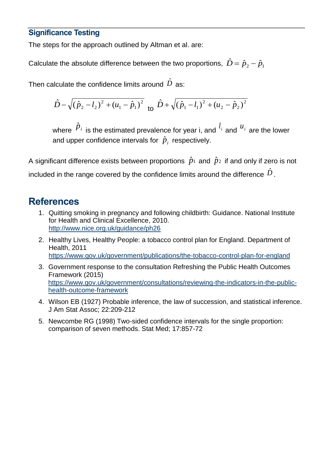#### **Significance Testing**

The steps for the approach outlined by Altman et al. are:

Calculate the absolute difference between the two proportions,  $\hat{D} = \hat{p}_{2} - \hat{p}_{1}$ 

Then calculate the confidence limits around  $\,\hat{D}\,$  as:

$$
\hat{D} - \sqrt{(\hat{p}_2 - l_2)^2 + (u_1 - \hat{p}_1)^2} \quad \text{to} \quad \hat{D} + \sqrt{(\hat{p}_1 - l_1)^2 + (u_2 - \hat{p}_2)^2}
$$

where  $\hat{P}_i$  is the estimated prevalence for year i, and  $^{l_i}$  and  $^{u_i}$  are the lower and upper confidence intervals for  $\hat{p}_{i}$  respectively.

A significant difference exists between proportions  $\,\hat{p}_1\,$  and  $\,\hat{p}_2\,$  if and only if zero is not included in the range covered by the confidence limits around the difference  $\,\hat{D}$  .

### **References**

- <span id="page-11-0"></span>1. Quitting smoking in pregnancy and following childbirth: Guidance. National Institute for Health and Clinical Excellence, 2010. <http://www.nice.org.uk/guidance/ph26>
- <span id="page-11-1"></span>2. Healthy Lives, Healthy People: a tobacco control plan for England. Department of Health, 2011 <https://www.gov.uk/government/publications/the-tobacco-control-plan-for-england>
- 3. Government response to the consultation Refreshing the Public Health Outcomes Framework (2015) [https://www.gov.uk/government/consultations/reviewing-the-indicators-in-the-public](https://www.gov.uk/government/consultations/reviewing-the-indicators-in-the-public-health-outcome-framework)[health-outcome-framework](https://www.gov.uk/government/consultations/reviewing-the-indicators-in-the-public-health-outcome-framework)
- 4. Wilson EB (1927) Probable inference, the law of succession, and statistical inference. J Am Stat Assoc; 22:209-212
- 5. Newcombe RG (1998) Two-sided confidence intervals for the single proportion: comparison of seven methods. Stat Med; 17:857-72